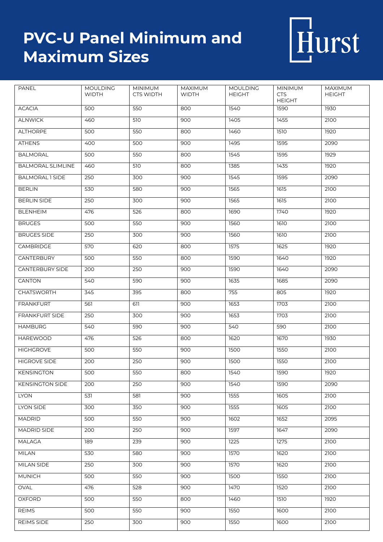## **PVC-U Panel Minimum and Maximum Sizes**



| PANEL                    | <b>MOULDING</b><br><b>WIDTH</b> | <b>MINIMUM</b><br><b>CTS WIDTH</b> | MAXIMUM<br><b>WIDTH</b> | <b>MOULDING</b><br><b>HEIGHT</b> | <b>MINIMUM</b><br><b>CTS</b><br><b>HEIGHT</b> | MAXIMUM<br><b>HEIGHT</b> |
|--------------------------|---------------------------------|------------------------------------|-------------------------|----------------------------------|-----------------------------------------------|--------------------------|
| <b>ACACIA</b>            | 500                             | 550                                | 800                     | 1540                             | 1590                                          | 1930                     |
| <b>ALNWICK</b>           | 460                             | 510                                | 900                     | 1405                             | 1455                                          | 2100                     |
| <b>ALTHORPE</b>          | 500                             | 550                                | 800                     | 1460                             | 1510                                          | 1920                     |
| <b>ATHENS</b>            | 400                             | 500                                | 900                     | 1495                             | 1595                                          | 2090                     |
| <b>BALMORAL</b>          | 500                             | 550                                | 800                     | 1545                             | 1595                                          | 1929                     |
| <b>BALMORAL SLIMLINE</b> | 460                             | 510                                | 800                     | 1385                             | 1435                                          | 1920                     |
| <b>BALMORAL 1 SIDE</b>   | 250                             | 300                                | 900                     | 1545                             | 1595                                          | 2090                     |
| <b>BERLIN</b>            | 530                             | 580                                | 900                     | 1565                             | 1615                                          | 2100                     |
| <b>BERLIN SIDE</b>       | 250                             | 300                                | 900                     | 1565                             | 1615                                          | 2100                     |
| <b>BLENHEIM</b>          | 476                             | 526                                | 800                     | 1690                             | 1740                                          | 1920                     |
| <b>BRUGES</b>            | 500                             | 550                                | 900                     | 1560                             | 1610                                          | 2100                     |
| <b>BRUGES SIDE</b>       | 250                             | 300                                | 900                     | 1560                             | 1610                                          | 2100                     |
| CAMBRIDGE                | 570                             | 620                                | 800                     | 1575                             | 1625                                          | 1920                     |
| CANTERBURY               | 500                             | 550                                | 800                     | 1590                             | 1640                                          | 1920                     |
| <b>CANTERBURY SIDE</b>   | 200                             | 250                                | 900                     | 1590                             | 1640                                          | 2090                     |
| CANTON                   | 540                             | 590                                | 900                     | 1635                             | 1685                                          | 2090                     |
| <b>CHATSWORTH</b>        | 345                             | 395                                | 800                     | 755                              | 805                                           | 1920                     |
| <b>FRANKFURT</b>         | 561                             | 611                                | 900                     | 1653                             | 1703                                          | 2100                     |
| <b>FRANKFURT SIDE</b>    | 250                             | 300                                | 900                     | 1653                             | 1703                                          | 2100                     |
| <b>HAMBURG</b>           | 540                             | 590                                | 900                     | 540                              | 590                                           | 2100                     |
| <b>HAREWOOD</b>          | 476                             | 526                                | 800                     | 1620                             | 1670                                          | 1930                     |
| <b>HIGHGROVE</b>         | 500                             | 550                                | 900                     | 1500                             | 1550                                          | 2100                     |
| <b>HIGROVE SIDE</b>      | 200                             | 250                                | 900                     | 1500                             | 1550                                          | 2100                     |
| KENSINGTON               | 500                             | 550                                | 800                     | 1540                             | 1590                                          | 1920                     |
| <b>KENSINGTON SIDE</b>   | 200                             | 250                                | 900                     | 1540                             | 1590                                          | 2090                     |
| <b>LYON</b>              | 531                             | 581                                | 900                     | 1555                             | 1605                                          | 2100                     |
| LYON SIDE                | 300                             | 350                                | 900                     | 1555                             | 1605                                          | 2100                     |
| <b>MADRID</b>            | 500                             | 550                                | 900                     | 1602                             | 1652                                          | 2095                     |
| MADRID SIDE              | 200                             | 250                                | 900                     | 1597                             | 1647                                          | 2090                     |
| <b>MALAGA</b>            | 189                             | 239                                | 900                     | 1225                             | 1275                                          | 2100                     |
| <b>MILAN</b>             | 530                             | 580                                | 900                     | 1570                             | 1620                                          | 2100                     |
| <b>MILAN SIDE</b>        | 250                             | 300                                | 900                     | 1570                             | 1620                                          | 2100                     |
| <b>MUNICH</b>            | 500                             | 550                                | 900                     | 1500                             | 1550                                          | 2100                     |
| OVAL                     | 476                             | 528                                | 900                     | 1470                             | 1520                                          | 2100                     |
| <b>OXFORD</b>            | 500                             | 550                                | 800                     | 1460                             | 1510                                          | 1920                     |
| <b>REIMS</b>             | 500                             | 550                                | 900                     | 1550                             | 1600                                          | 2100                     |
| <b>REIMS SIDE</b>        | 250                             | 300                                | 900                     | 1550                             | 1600                                          | 2100                     |